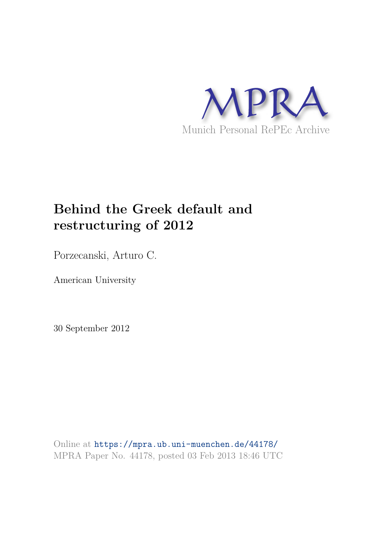

# **Behind the Greek default and restructuring of 2012**

Porzecanski, Arturo C.

American University

30 September 2012

Online at https://mpra.ub.uni-muenchen.de/44178/ MPRA Paper No. 44178, posted 03 Feb 2013 18:46 UTC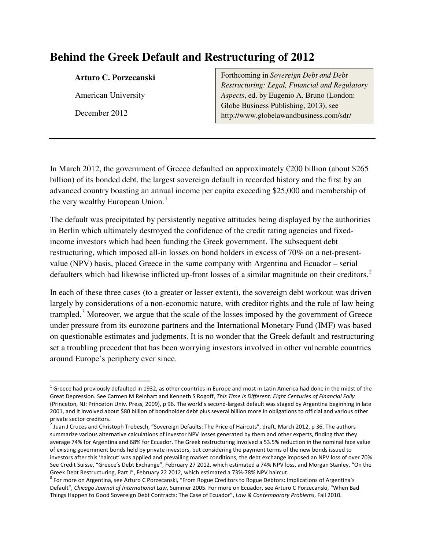# **Behind the Greek Default and Restructuring of 2012**

#### **Arturo C. Porzecanski**

American University

December 2012

l

Forthcoming in *Sovereign Debt and Debt Restructuring: Legal, Financial and Regulatory Aspects*, ed. by Eugenio A. Bruno (London: Globe Business Publishing, 2013), see http://www.globelawandbusiness.com/sdr/

In March 2012, the government of Greece defaulted on approximately  $\epsilon$ 200 billion (about \$265 billion) of its bonded debt, the largest sovereign default in recorded history and the first by an advanced country boasting an annual income per capita exceeding \$25,000 and membership of the very wealthy European Union.<sup>[1](#page-1-0)</sup>

The default was precipitated by persistently negative attitudes being displayed by the authorities in Berlin which ultimately destroyed the confidence of the credit rating agencies and fixedincome investors which had been funding the Greek government. The subsequent debt restructuring, which imposed all-in losses on bond holders in excess of 70% on a net-presentvalue (NPV) basis, placed Greece in the same company with Argentina and Ecuador – serial defaulters which had likewise inflicted up-front losses of a similar magnitude on their creditors.<sup>[2](#page-1-1)</sup>

In each of these three cases (to a greater or lesser extent), the sovereign debt workout was driven largely by considerations of a non-economic nature, with creditor rights and the rule of law being trampled.<sup>[3](#page-1-2)</sup> Moreover, we argue that the scale of the losses imposed by the government of Greece under pressure from its eurozone partners and the International Monetary Fund (IMF) was based on questionable estimates and judgments. It is no wonder that the Greek default and restructuring set a troubling precedent that has been worrying investors involved in other vulnerable countries around Europe's periphery ever since.

<span id="page-1-0"></span><sup>&</sup>lt;sup>1</sup> Greece had previously defaulted in 1932, as other countries in Europe and most in Latin America had done in the midst of the Great Depression. See Carmen M Reinhart and Kenneth S Rogoff, *This Time Is Different: Eight Centuries of Financial Folly* (Princeton, NJ: Princeton Univ. Press, 2009), p 96. The world's second-largest default was staged by Argentina beginning in late 2001, and it involved about \$80 billion of bondholder debt plus several billion more in obligations to official and various other private sector creditors.

<span id="page-1-1"></span><sup>&</sup>lt;sup>2</sup> Juan J Cruces and Christoph Trebesch, "Sovereign Defaults: The Price of Haircuts", draft, March 2012, p 36. The authors summarize various alternative calculations of investor NPV losses generated by them and other experts, finding that they average 74% for Argentina and 68% for Ecuador. The Greek restructuring involved a 53.5% reduction in the nominal face value of existing government bonds held by private investors, but considering the payment terms of the new bonds issued to investors after this 'haircut' was applied and prevailing market conditions, the debt exchange imposed an NPV loss of over 70%. See Credit Suisse, "Greece's Debt Exchange", February 27 2012, which estimated a 74% NPV loss, and Morgan Stanley, "On the

<span id="page-1-2"></span>Greek Debt Restructuring, Part I", February 22 2012, which estimated a 73%-78% NPV haircut.<br><sup>3</sup> For more on Argentina, see Arturo C Porzecanski, "From Rogue Creditors to Rogue Debtors: Implications of Argentina's Default", *Chicago Journal of International Law*, Summer 2005. For more on Ecuador, see Arturo C Porzecanski, "When Bad Things Happen to Good Sovereign Debt Contracts: The Case of Ecuador", *Law & Contemporary Problems*, Fall 2010.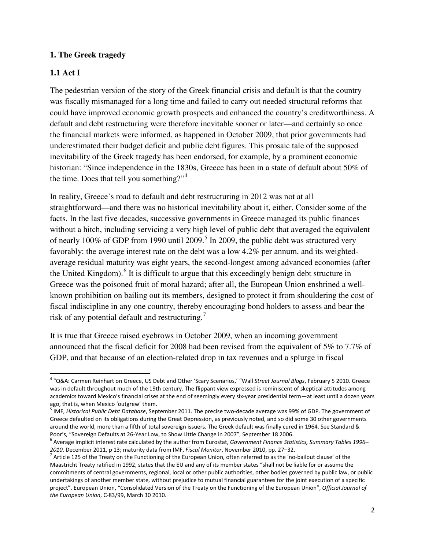#### **1. The Greek tragedy**

# **1.1 Act I**

<u>.</u>

The pedestrian version of the story of the Greek financial crisis and default is that the country was fiscally mismanaged for a long time and failed to carry out needed structural reforms that could have improved economic growth prospects and enhanced the country's creditworthiness. A default and debt restructuring were therefore inevitable sooner or later—and certainly so once the financial markets were informed, as happened in October 2009, that prior governments had underestimated their budget deficit and public debt figures. This prosaic tale of the supposed inevitability of the Greek tragedy has been endorsed, for example, by a prominent economic historian: "Since independence in the 1830s, Greece has been in a state of default about 50% of the time. Does that tell you something?"<sup>[4](#page-2-0)</sup>

In reality, Greece's road to default and debt restructuring in 2012 was not at all straightforward—and there was no historical inevitability about it, either. Consider some of the facts. In the last five decades, successive governments in Greece managed its public finances without a hitch, including servicing a very high level of public debt that averaged the equivalent of nearly 100% of GDP from 1990 until 2009.<sup>[5](#page-2-1)</sup> In 2009, the public debt was structured very favorably: the average interest rate on the debt was a low 4.2% per annum, and its weightedaverage residual maturity was eight years, the second-longest among advanced economies (after the United Kingdom). <sup>[6](#page-2-2)</sup> It is difficult to argue that this exceedingly benign debt structure in Greece was the poisoned fruit of moral hazard; after all, the European Union enshrined a wellknown prohibition on bailing out its members, designed to protect it from shouldering the cost of fiscal indiscipline in any one country, thereby encouraging bond holders to assess and bear the risk of any potential default and restructuring.<sup>[7](#page-2-3)</sup>

It is true that Greece raised eyebrows in October 2009, when an incoming government announced that the fiscal deficit for 2008 had been revised from the equivalent of 5% to 7.7% of GDP, and that because of an election-related drop in tax revenues and a splurge in fiscal

<span id="page-2-0"></span><sup>4</sup> "Q&A: Carmen Reinhart on Greece, US Debt and Other 'Scary Scenarios,' "Wall *Street Journal Blogs*, February 5 2010. Greece was in default throughout much of the 19th century. The flippant view expressed is reminiscent of skeptical attitudes among academics toward Mexico's financial crises at the end of seemingly every six-year presidential term—at least until a dozen years ago, that is, when Mexico 'outgrew' them.

<span id="page-2-1"></span><sup>5</sup> IMF, *Historical Public Debt Database*, September 2011. The precise two-decade average was 99% of GDP. The government of Greece defaulted on its obligations during the Great Depression, as previously noted, and so did some 30 other governments around the world, more than a fifth of total sovereign issuers. The Greek default was finally cured in 1964. See Standard & Poor's, "Sovereign Defaults at 26-Year Low, to Show Little Change in 2007", September 18 2006.

<span id="page-2-2"></span><sup>6</sup> Average implicit interest rate calculated by the author from Eurostat, *Government Finance Statistics, Summary Tables 1996–*

<span id="page-2-3"></span><sup>2010,</sup> December 2011, p 13; maturity data from IMF, *Fiscal Monitor*, November 2010, pp. 27–32.<br><sup>7</sup> Article 125 of the Treaty on the Functioning of the European Union, often referred to as the 'no-bailout clause' of the Maastricht Treaty ratified in 1992, states that the EU and any of its member states "shall not be liable for or assume the commitments of central governments, regional, local or other public authorities, other bodies governed by public law, or public undertakings of another member state, without prejudice to mutual financial guarantees for the joint execution of a specific project". European Union, "Consolidated Version of the Treaty on the Functioning of the European Union", *Official Journal of the European Union*, C-83/99, March 30 2010.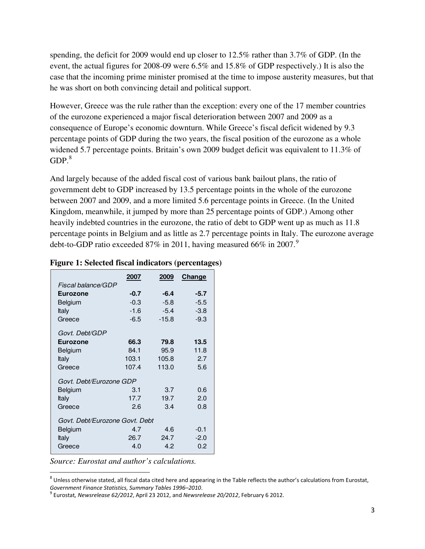spending, the deficit for 2009 would end up closer to 12.5% rather than 3.7% of GDP. (In the event, the actual figures for 2008-09 were 6.5% and 15.8% of GDP respectively.) It is also the case that the incoming prime minister promised at the time to impose austerity measures, but that he was short on both convincing detail and political support.

However, Greece was the rule rather than the exception: every one of the 17 member countries of the eurozone experienced a major fiscal deterioration between 2007 and 2009 as a consequence of Europe's economic downturn. While Greece's fiscal deficit widened by 9.3 percentage points of GDP during the two years, the fiscal position of the eurozone as a whole widened 5.7 percentage points. Britain's own 2009 budget deficit was equivalent to 11.3% of  $GDP<sup>8</sup>$  $GDP<sup>8</sup>$  $GDP<sup>8</sup>$ 

And largely because of the added fiscal cost of various bank bailout plans, the ratio of government debt to GDP increased by 13.5 percentage points in the whole of the eurozone between 2007 and 2009, and a more limited 5.6 percentage points in Greece. (In the United Kingdom, meanwhile, it jumped by more than 25 percentage points of GDP.) Among other heavily indebted countries in the eurozone, the ratio of debt to GDP went up as much as 11.8 percentage points in Belgium and as little as 2.7 percentage points in Italy. The eurozone average debt-to-GDP ratio exceeded 87% in 2011, having measured 66% in 2007.<sup>[9](#page-3-1)</sup>

|                                | 2007   | 2009    | Change |
|--------------------------------|--------|---------|--------|
| Fiscal balance/GDP             |        |         |        |
| <b>Eurozone</b>                | $-0.7$ | -6.4    | $-5.7$ |
| Belgium                        | $-0.3$ | $-5.8$  | $-5.5$ |
| Italy                          | $-1.6$ | $-5.4$  | $-3.8$ |
| Greece                         | $-6.5$ | $-15.8$ | $-9.3$ |
| Govt. Debt/GDP                 |        |         |        |
| <b>Eurozone</b>                | 66.3   | 79.8    | 13.5   |
| Belgium                        | 84.1   | 95.9    | 11.8   |
| Italy                          | 103.1  | 105.8   | 2.7    |
| Greece                         | 107.4  | 113.0   | 5.6    |
| Govt. Debt/Eurozone GDP        |        |         |        |
| Belgium                        | 3.1    | 3.7     | 0.6    |
| Italy                          | 17.7   | 19.7    | 2.0    |
| Greece                         | 2.6    | 3.4     | 0.8    |
| Govt. Debt/Eurozone Govt. Debt |        |         |        |
| Belgium                        | 4.7    | 4.6     | $-0.1$ |
| Italy                          | 26.7   | 24.7    | $-2.0$ |
| Greece                         | 4.0    | 4.2     | 0.2    |

#### **Figure 1: Selected fiscal indicators (percentages)**

*Source: Eurostat and author's calculations.* 

<span id="page-3-0"></span> $^8$  Unless otherwise stated, all fiscal data cited here and appearing in the Table reflects the author's calculations from Eurostat, *Government Finance Statistics, Summary Tables 1996–2010*.

<span id="page-3-1"></span><sup>9</sup> Eurostat*, Newsrelease 62/2012*, April 23 2012, and *Newsrelease 20/2012*, February 6 2012.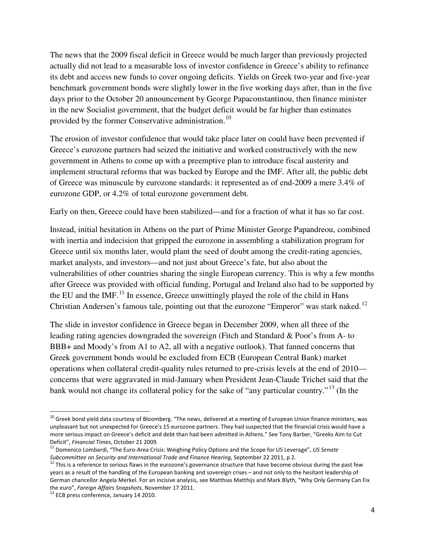The news that the 2009 fiscal deficit in Greece would be much larger than previously projected actually did not lead to a measurable loss of investor confidence in Greece's ability to refinance its debt and access new funds to cover ongoing deficits. Yields on Greek two-year and five-year benchmark government bonds were slightly lower in the five working days after, than in the five days prior to the October 20 announcement by George Papaconstantinou, then finance minister in the new Socialist government, that the budget deficit would be far higher than estimates provided by the former Conservative administration.<sup>[10](#page-4-0)</sup>

The erosion of investor confidence that would take place later on could have been prevented if Greece's eurozone partners had seized the initiative and worked constructively with the new government in Athens to come up with a preemptive plan to introduce fiscal austerity and implement structural reforms that was backed by Europe and the IMF. After all, the public debt of Greece was minuscule by eurozone standards: it represented as of end-2009 a mere 3.4% of eurozone GDP, or 4.2% of total eurozone government debt.

Early on then, Greece could have been stabilized—and for a fraction of what it has so far cost.

Instead, initial hesitation in Athens on the part of Prime Minister George Papandreou, combined with inertia and indecision that gripped the eurozone in assembling a stabilization program for Greece until six months later, would plant the seed of doubt among the credit-rating agencies, market analysts, and investors—and not just about Greece's fate, but also about the vulnerabilities of other countries sharing the single European currency. This is why a few months after Greece was provided with official funding, Portugal and Ireland also had to be supported by the EU and the IMF.<sup>[11](#page-4-1)</sup> In essence, Greece unwittingly played the role of the child in Hans Christian Andersen's famous tale, pointing out that the eurozone "Emperor" was stark naked.<sup>[12](#page-4-2)</sup>

The slide in investor confidence in Greece began in December 2009, when all three of the leading rating agencies downgraded the sovereign (Fitch and Standard & Poor's from A- to BBB+ and Moody's from A1 to A2, all with a negative outlook). That fanned concerns that Greek government bonds would be excluded from ECB (European Central Bank) market operations when collateral credit-quality rules returned to pre-crisis levels at the end of 2010 concerns that were aggravated in mid-January when President Jean-Claude Trichet said that the bank would not change its collateral policy for the sake of "any particular country."<sup>[13](#page-4-3)</sup> (In the

<span id="page-4-0"></span><sup>&</sup>lt;sup>10</sup> Greek bond yield data courtesy of Bloomberg. "The news, delivered at a meeting of European Union finance ministers, was unpleasant but not unexpected for Greece's 15 eurozone partners. They had suspected that the financial crisis would have a more serious impact on Greece's deficit and debt than had been admitted in Athens." See Tony Barber, "Greeks Aim to Cut Deficit", *Financial Times*, October 21 2009.

<span id="page-4-1"></span><sup>11</sup> Domenico Lombardi, "The Euro-Area Crisis: Weighing Policy Options and the Scope for US Leverage", *US Senate Subcommittee on Security and International Trade and Finance Hearing*, September 22 2011, p 2.

<span id="page-4-2"></span> $12$  This is a reference to serious flaws in the eurozone's governance structure that have become obvious during the past few years as a result of the handling of the European banking and sovereign crises – and not only to the hesitant leadership of German chancellor Angela Merkel. For an incisive analysis, see Matthias Matthijs and Mark Blyth, "Why Only Germany Can Fix the euro", *Foreign Affairs Snapshots*, November 17 2011.

<span id="page-4-3"></span><sup>&</sup>lt;sup>13</sup> ECB press conference, January 14 2010.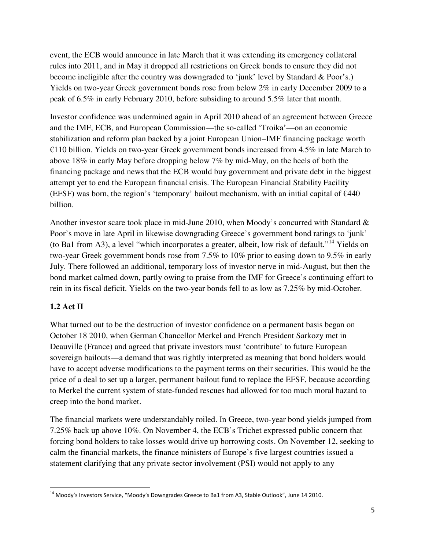event, the ECB would announce in late March that it was extending its emergency collateral rules into 2011, and in May it dropped all restrictions on Greek bonds to ensure they did not become ineligible after the country was downgraded to 'junk' level by Standard & Poor's.) Yields on two-year Greek government bonds rose from below 2% in early December 2009 to a peak of 6.5% in early February 2010, before subsiding to around 5.5% later that month.

Investor confidence was undermined again in April 2010 ahead of an agreement between Greece and the IMF, ECB, and European Commission—the so-called 'Troika'—on an economic stabilization and reform plan backed by a joint European Union–IMF financing package worth €110 billion. Yields on two-year Greek government bonds increased from 4.5% in late March to above 18% in early May before dropping below 7% by mid-May, on the heels of both the financing package and news that the ECB would buy government and private debt in the biggest attempt yet to end the European financial crisis. The European Financial Stability Facility (EFSF) was born, the region's 'temporary' bailout mechanism, with an initial capital of  $E$ 440 billion.

Another investor scare took place in mid-June 2010, when Moody's concurred with Standard & Poor's move in late April in likewise downgrading Greece's government bond ratings to 'junk' (to Ba1 from A3), a level "which incorporates a greater, albeit, low risk of default."[14](#page-5-0) Yields on two-year Greek government bonds rose from 7.5% to 10% prior to easing down to 9.5% in early July. There followed an additional, temporary loss of investor nerve in mid-August, but then the bond market calmed down, partly owing to praise from the IMF for Greece's continuing effort to rein in its fiscal deficit. Yields on the two-year bonds fell to as low as 7.25% by mid-October.

# **1.2 Act II**

l

What turned out to be the destruction of investor confidence on a permanent basis began on October 18 2010, when German Chancellor Merkel and French President Sarkozy met in Deauville (France) and agreed that private investors must 'contribute' to future European sovereign bailouts—a demand that was rightly interpreted as meaning that bond holders would have to accept adverse modifications to the payment terms on their securities. This would be the price of a deal to set up a larger, permanent bailout fund to replace the EFSF, because according to Merkel the current system of state-funded rescues had allowed for too much moral hazard to creep into the bond market.

The financial markets were understandably roiled. In Greece, two-year bond yields jumped from 7.25% back up above 10%. On November 4, the ECB's Trichet expressed public concern that forcing bond holders to take losses would drive up borrowing costs. On November 12, seeking to calm the financial markets, the finance ministers of Europe's five largest countries issued a statement clarifying that any private sector involvement (PSI) would not apply to any

<span id="page-5-0"></span><sup>&</sup>lt;sup>14</sup> Moody's Investors Service, "Moody's Downgrades Greece to Ba1 from A3, Stable Outlook", June 14 2010.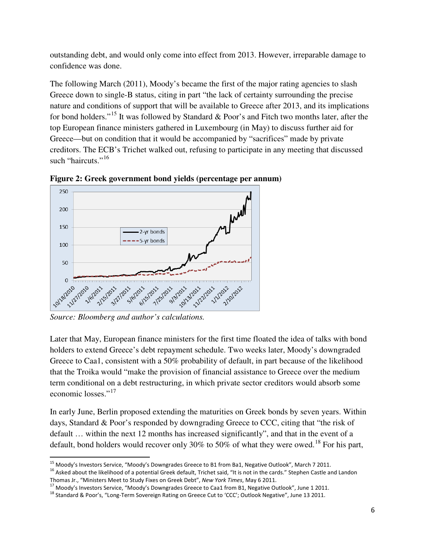outstanding debt, and would only come into effect from 2013. However, irreparable damage to confidence was done.

The following March (2011), Moody's became the first of the major rating agencies to slash Greece down to single-B status, citing in part "the lack of certainty surrounding the precise nature and conditions of support that will be available to Greece after 2013, and its implications for bond holders."[15](#page-6-0) It was followed by Standard & Poor's and Fitch two months later, after the top European finance ministers gathered in Luxembourg (in May) to discuss further aid for Greece—but on condition that it would be accompanied by "sacrifices" made by private creditors. The ECB's Trichet walked out, refusing to participate in any meeting that discussed such "haircuts."<sup>[16](#page-6-1)</sup>



**Figure 2: Greek government bond yields (percentage per annum)**

*Source: Bloomberg and author's calculations.* 

Later that May, European finance ministers for the first time floated the idea of talks with bond holders to extend Greece's debt repayment schedule. Two weeks later, Moody's downgraded Greece to Caa1, consistent with a 50% probability of default, in part because of the likelihood that the Troika would "make the provision of financial assistance to Greece over the medium term conditional on a debt restructuring, in which private sector creditors would absorb some economic losses."<sup>[17](#page-6-2)</sup>

In early June, Berlin proposed extending the maturities on Greek bonds by seven years. Within days, Standard & Poor's responded by downgrading Greece to CCC, citing that "the risk of default … within the next 12 months has increased significantly", and that in the event of a default, bond holders would recover only 30% to 50% of what they were owed.<sup>[18](#page-6-3)</sup> For his part,

<sup>&</sup>lt;u>.</u> <sup>15</sup> Moody's Investors Service, "Moody's Downgrades Greece to B1 from Ba1, Negative Outlook", March 7 2011.

<span id="page-6-1"></span><span id="page-6-0"></span><sup>&</sup>lt;sup>16</sup> Asked about the likelihood of a potential Greek default, Trichet said, "It is not in the cards." Stephen Castle and Landon Thomas Jr., "Ministers Meet to Study Fixes on Greek Debt", *New York Times*, May 6 2011.

<span id="page-6-2"></span><sup>&</sup>lt;sup>17</sup> Moody's Investors Service, "Moody's Downgrades Greece to Caa1 from B1, Negative Outlook", June 1 2011.

<span id="page-6-3"></span><sup>&</sup>lt;sup>18</sup> Standard & Poor's, "Long-Term Sovereign Rating on Greece Cut to 'CCC'; Outlook Negative", June 13 2011.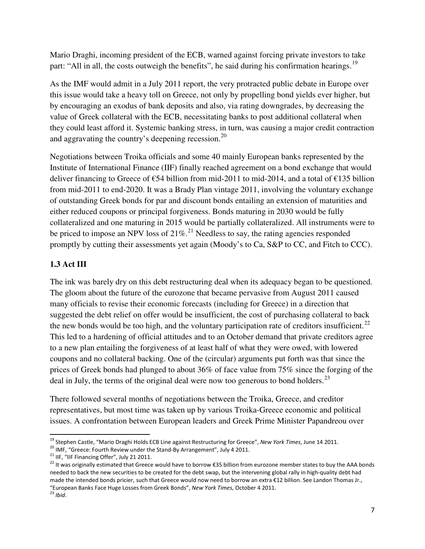Mario Draghi, incoming president of the ECB, warned against forcing private investors to take part: "All in all, the costs outweigh the benefits", he said during his confirmation hearings.<sup>[19](#page-7-0)</sup>

As the IMF would admit in a July 2011 report, the very protracted public debate in Europe over this issue would take a heavy toll on Greece, not only by propelling bond yields ever higher, but by encouraging an exodus of bank deposits and also, via rating downgrades, by decreasing the value of Greek collateral with the ECB, necessitating banks to post additional collateral when they could least afford it. Systemic banking stress, in turn, was causing a major credit contraction and aggravating the country's deepening recession.<sup>[20](#page-7-1)</sup>

Negotiations between Troika officials and some 40 mainly European banks represented by the Institute of International Finance (IIF) finally reached agreement on a bond exchange that would deliver financing to Greece of €54 billion from mid-2011 to mid-2014, and a total of €135 billion from mid-2011 to end-2020. It was a Brady Plan vintage 2011, involving the voluntary exchange of outstanding Greek bonds for par and discount bonds entailing an extension of maturities and either reduced coupons or principal forgiveness. Bonds maturing in 2030 would be fully collateralized and one maturing in 2015 would be partially collateralized. All instruments were to be priced to impose an NPV loss of  $21\%$  $21\%$ <sup>21</sup> Needless to say, the rating agencies responded promptly by cutting their assessments yet again (Moody's to Ca, S&P to CC, and Fitch to CCC).

# **1.3 Act III**

The ink was barely dry on this debt restructuring deal when its adequacy began to be questioned. The gloom about the future of the eurozone that became pervasive from August 2011 caused many officials to revise their economic forecasts (including for Greece) in a direction that suggested the debt relief on offer would be insufficient, the cost of purchasing collateral to back the new bonds would be too high, and the voluntary participation rate of creditors insufficient.<sup>[22](#page-7-3)</sup> This led to a hardening of official attitudes and to an October demand that private creditors agree to a new plan entailing the forgiveness of at least half of what they were owed, with lowered coupons and no collateral backing. One of the (circular) arguments put forth was that since the prices of Greek bonds had plunged to about 36% of face value from 75% since the forging of the deal in July, the terms of the original deal were now too generous to bond holders.<sup>[23](#page-7-4)</sup>

There followed several months of negotiations between the Troika, Greece, and creditor representatives, but most time was taken up by various Troika-Greece economic and political issues. A confrontation between European leaders and Greek Prime Minister Papandreou over

l

<span id="page-7-0"></span><sup>19</sup> Stephen Castle, "Mario Draghi Holds ECB Line against Restructuring for Greece", *New York Times*, June 14 2011.

<span id="page-7-1"></span><sup>&</sup>lt;sup>20</sup> IMF, "Greece: Fourth Review under the Stand-By Arrangement", July 4 2011.

<span id="page-7-2"></span> $21$  IIF, "IIF Financing Offer", July 21 2011.

<span id="page-7-3"></span><sup>&</sup>lt;sup>22</sup> It was originally estimated that Greece would have to borrow €35 billion from eurozone member states to buy the AAA bonds needed to back the new securities to be created for the debt swap, but the intervening global rally in high-quality debt had made the intended bonds pricier, such that Greece would now need to borrow an extra €12 billion. See Landon Thomas Jr., "European Banks Face Huge Losses from Greek Bonds", *New York Times*, October 4 2011.

<span id="page-7-4"></span><sup>23</sup> *Ibid*.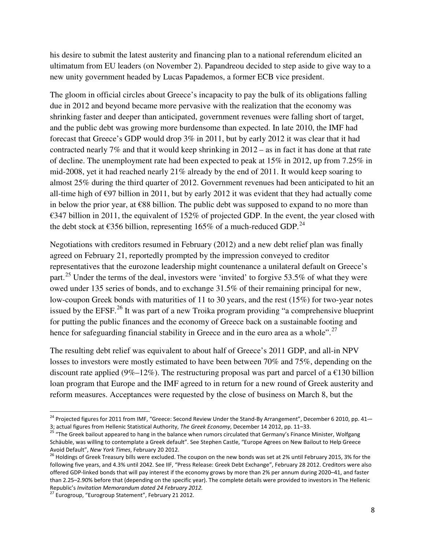his desire to submit the latest austerity and financing plan to a national referendum elicited an ultimatum from EU leaders (on November 2). Papandreou decided to step aside to give way to a new unity government headed by Lucas Papademos, a former ECB vice president.

The gloom in official circles about Greece's incapacity to pay the bulk of its obligations falling due in 2012 and beyond became more pervasive with the realization that the economy was shrinking faster and deeper than anticipated, government revenues were falling short of target, and the public debt was growing more burdensome than expected. In late 2010, the IMF had forecast that Greece's GDP would drop 3% in 2011, but by early 2012 it was clear that it had contracted nearly 7% and that it would keep shrinking in 2012 – as in fact it has done at that rate of decline. The unemployment rate had been expected to peak at 15% in 2012, up from 7.25% in mid-2008, yet it had reached nearly 21% already by the end of 2011. It would keep soaring to almost 25% during the third quarter of 2012. Government revenues had been anticipated to hit an all-time high of  $\epsilon$ 97 billion in 2011, but by early 2012 it was evident that they had actually come in below the prior year, at €88 billion. The public debt was supposed to expand to no more than €347 billion in 2011, the equivalent of 152% of projected GDP. In the event, the year closed with the debt stock at  $\epsilon$ 356 billion, representing 165% of a much-reduced GDP.<sup>[24](#page-8-0)</sup>

Negotiations with creditors resumed in February (2012) and a new debt relief plan was finally agreed on February 21, reportedly prompted by the impression conveyed to creditor representatives that the eurozone leadership might countenance a unilateral default on Greece's part.<sup>[25](#page-8-1)</sup> Under the terms of the deal, investors were 'invited' to forgive 53.5% of what they were owed under 135 series of bonds, and to exchange 31.5% of their remaining principal for new, low-coupon Greek bonds with maturities of 11 to 30 years, and the rest (15%) for two-year notes issued by the EFSF.<sup>[26](#page-8-2)</sup> It was part of a new Troika program providing "a comprehensive blueprint for putting the public finances and the economy of Greece back on a sustainable footing and hence for safeguarding financial stability in Greece and in the euro area as a whole".<sup>[27](#page-8-3)</sup>

The resulting debt relief was equivalent to about half of Greece's 2011 GDP, and all-in NPV losses to investors were mostly estimated to have been between 70% and 75%, depending on the discount rate applied (9%–12%). The restructuring proposal was part and parcel of a  $\epsilon$ 130 billion loan program that Europe and the IMF agreed to in return for a new round of Greek austerity and reform measures. Acceptances were requested by the close of business on March 8, but the

l

<span id="page-8-0"></span><sup>&</sup>lt;sup>24</sup> Projected figures for 2011 from IMF, "Greece: Second Review Under the Stand-By Arrangement", December 6 2010, pp. 41-3; actual figures from Hellenic Statistical Authority, *The Greek Economy*, December 14 2012, pp. 11–33.

<span id="page-8-1"></span><sup>&</sup>lt;sup>25</sup> "The Greek bailout appeared to hang in the balance when rumors circulated that Germany's Finance Minister, Wolfgang Schäuble, was willing to contemplate a Greek default". See Stephen Castle, "Europe Agrees on New Bailout to Help Greece Avoid Default", *New York Times*, February 20 2012.

<span id="page-8-2"></span><sup>&</sup>lt;sup>26</sup> Holdings of Greek Treasury bills were excluded. The coupon on the new bonds was set at 2% until February 2015, 3% for the following five years, and 4.3% until 2042. See IIF, "Press Release: Greek Debt Exchange", February 28 2012. Creditors were also offered GDP-linked bonds that will pay interest if the economy grows by more than 2% per annum during 2020–41, and faster than 2.25–2.90% before that (depending on the specific year). The complete details were provided to investors in The Hellenic Republic's *Invitation Memorandum dated 24 February 2012.*

<span id="page-8-3"></span><sup>&</sup>lt;sup>27</sup> Eurogroup, "Eurogroup Statement", February 21 2012.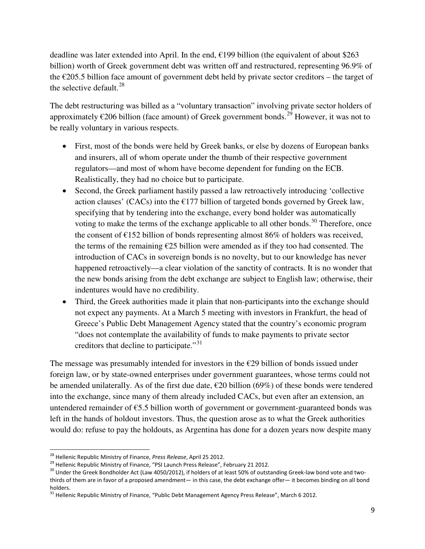deadline was later extended into April. In the end,  $\epsilon$ 199 billion (the equivalent of about \$263 billion) worth of Greek government debt was written off and restructured, representing 96.9% of the  $\epsilon$ 205.5 billion face amount of government debt held by private sector creditors – the target of the selective default.  $28$ 

The debt restructuring was billed as a "voluntary transaction" involving private sector holders of approximately  $\epsilon$ 206 billion (face amount) of Greek government bonds.<sup>[29](#page-9-1)</sup> However, it was not to be really voluntary in various respects.

- First, most of the bonds were held by Greek banks, or else by dozens of European banks and insurers, all of whom operate under the thumb of their respective government regulators—and most of whom have become dependent for funding on the ECB. Realistically, they had no choice but to participate.
- Second, the Greek parliament hastily passed a law retroactively introducing 'collective action clauses' (CACs) into the  $E177$  billion of targeted bonds governed by Greek law, specifying that by tendering into the exchange, every bond holder was automatically voting to make the terms of the exchange applicable to all other bonds.<sup>[30](#page-9-2)</sup> Therefore, once the consent of  $\epsilon$ 152 billion of bonds representing almost 86% of holders was received, the terms of the remaining  $\epsilon$ 25 billion were amended as if they too had consented. The introduction of CACs in sovereign bonds is no novelty, but to our knowledge has never happened retroactively—a clear violation of the sanctity of contracts. It is no wonder that the new bonds arising from the debt exchange are subject to English law; otherwise, their indentures would have no credibility.
- Third, the Greek authorities made it plain that non-participants into the exchange should not expect any payments. At a March 5 meeting with investors in Frankfurt, the head of Greece's Public Debt Management Agency stated that the country's economic program "does not contemplate the availability of funds to make payments to private sector creditors that decline to participate."<sup>[31](#page-9-3)</sup>

The message was presumably intended for investors in the  $\epsilon$ 29 billion of bonds issued under foreign law, or by state-owned enterprises under government guarantees, whose terms could not be amended unilaterally. As of the first due date,  $\epsilon$ 20 billion (69%) of these bonds were tendered into the exchange, since many of them already included CACs, but even after an extension, an untendered remainder of  $\epsilon$ 5.5 billion worth of government or government-guaranteed bonds was left in the hands of holdout investors. Thus, the question arose as to what the Greek authorities would do: refuse to pay the holdouts, as Argentina has done for a dozen years now despite many

<u>.</u>

<span id="page-9-0"></span><sup>28</sup> Hellenic Republic Ministry of Finance, *Press Release*, April 25 2012.

<span id="page-9-1"></span><sup>&</sup>lt;sup>29</sup> Hellenic Republic Ministry of Finance, "PSI Launch Press Release", February 21 2012.

<span id="page-9-2"></span><sup>&</sup>lt;sup>30</sup> Under the Greek Bondholder Act (Law 4050/2012), if holders of at least 50% of outstanding Greek-law bond vote and twothirds of them are in favor of a proposed amendment— in this case, the debt exchange offer— it becomes binding on all bond holders.

<span id="page-9-3"></span><sup>&</sup>lt;sup>31</sup> Hellenic Republic Ministry of Finance, "Public Debt Management Agency Press Release", March 6 2012.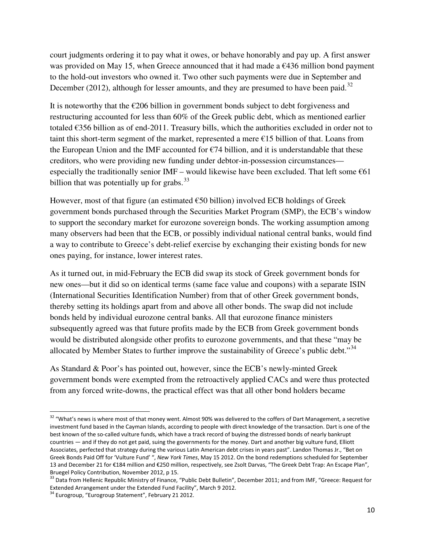court judgments ordering it to pay what it owes, or behave honorably and pay up. A first answer was provided on May 15, when Greece announced that it had made a  $\epsilon$ 436 million bond payment to the hold-out investors who owned it. Two other such payments were due in September and December (2012), although for lesser amounts, and they are presumed to have been paid.<sup>[32](#page-10-0)</sup>

It is noteworthy that the  $\epsilon$ 206 billion in government bonds subject to debt forgiveness and restructuring accounted for less than 60% of the Greek public debt, which as mentioned earlier totaled  $\epsilon$ 356 billion as of end-2011. Treasury bills, which the authorities excluded in order not to taint this short-term segment of the market, represented a mere  $E15$  billion of that. Loans from the European Union and the IMF accounted for  $\epsilon$ 74 billion, and it is understandable that these creditors, who were providing new funding under debtor-in-possession circumstances especially the traditionally senior IMF – would likewise have been excluded. That left some  $\epsilon$ 61 billion that was potentially up for grabs.  $33$ 

However, most of that figure (an estimated  $\epsilon$ 50 billion) involved ECB holdings of Greek government bonds purchased through the Securities Market Program (SMP), the ECB's window to support the secondary market for eurozone sovereign bonds. The working assumption among many observers had been that the ECB, or possibly individual national central banks, would find a way to contribute to Greece's debt-relief exercise by exchanging their existing bonds for new ones paying, for instance, lower interest rates.

As it turned out, in mid-February the ECB did swap its stock of Greek government bonds for new ones—but it did so on identical terms (same face value and coupons) with a separate ISIN (International Securities Identification Number) from that of other Greek government bonds, thereby setting its holdings apart from and above all other bonds. The swap did not include bonds held by individual eurozone central banks. All that eurozone finance ministers subsequently agreed was that future profits made by the ECB from Greek government bonds would be distributed alongside other profits to eurozone governments, and that these "may be allocated by Member States to further improve the sustainability of Greece's public debt."<sup>[34](#page-10-2)</sup>

As Standard & Poor's has pointed out, however, since the ECB's newly-minted Greek government bonds were exempted from the retroactively applied CACs and were thus protected from any forced write-downs, the practical effect was that all other bond holders became

<span id="page-10-0"></span><sup>&</sup>lt;sup>32</sup> "What's news is where most of that money went. Almost 90% was delivered to the coffers of Dart Management, a secretive investment fund based in the Cayman Islands, according to people with direct knowledge of the transaction. Dart is one of the best known of the so-called vulture funds, which have a track record of buying the distressed bonds of nearly bankrupt countries — and if they do not get paid, suing the governments for the money. Dart and another big vulture fund, Elliott Associates, perfected that strategy during the various Latin American debt crises in years past". Landon Thomas Jr., "Bet on Greek Bonds Paid Off for 'Vulture Fund' ", *New York Times*, May 15 2012. On the bond redemptions scheduled for September 13 and December 21 for €184 million and €250 million, respectively, see Zsolt Darvas, "The Greek Debt Trap: An Escape Plan", Bruegel Policy Contribution, November 2012, p 15.

<span id="page-10-1"></span><sup>33</sup> Data from Hellenic Republic Ministry of Finance, "Public Debt Bulletin", December 2011; and from IMF, "Greece: Request for Extended Arrangement under the Extended Fund Facility", March 9 2012.

<span id="page-10-2"></span><sup>&</sup>lt;sup>34</sup> Eurogroup, "Eurogroup Statement", February 21 2012.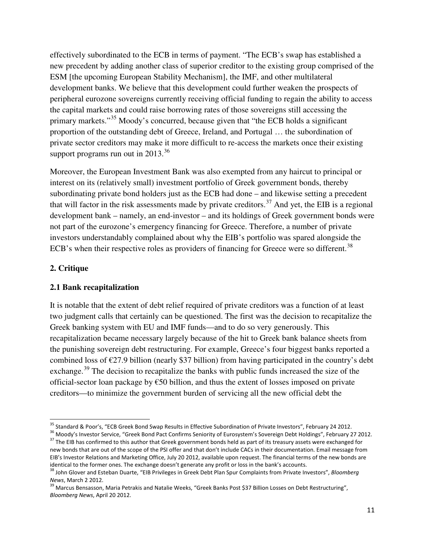effectively subordinated to the ECB in terms of payment. "The ECB's swap has established a new precedent by adding another class of superior creditor to the existing group comprised of the ESM [the upcoming European Stability Mechanism], the IMF, and other multilateral development banks. We believe that this development could further weaken the prospects of peripheral eurozone sovereigns currently receiving official funding to regain the ability to access the capital markets and could raise borrowing rates of those sovereigns still accessing the primary markets."<sup>[35](#page-11-0)</sup> Moody's concurred, because given that "the ECB holds a significant proportion of the outstanding debt of Greece, Ireland, and Portugal … the subordination of private sector creditors may make it more difficult to re-access the markets once their existing support programs run out in  $2013^{36}$  $2013^{36}$  $2013^{36}$ 

Moreover, the European Investment Bank was also exempted from any haircut to principal or interest on its (relatively small) investment portfolio of Greek government bonds, thereby subordinating private bond holders just as the ECB had done – and likewise setting a precedent that will factor in the risk assessments made by private creditors.<sup>[37](#page-11-2)</sup> And yet, the EIB is a regional development bank – namely, an end-investor – and its holdings of Greek government bonds were not part of the eurozone's emergency financing for Greece. Therefore, a number of private investors understandably complained about why the EIB's portfolio was spared alongside the ECB's when their respective roles as providers of financing for Greece were so different.<sup>[38](#page-11-3)</sup>

# **2. Critique**

 $\overline{a}$ 

# **2.1 Bank recapitalization**

It is notable that the extent of debt relief required of private creditors was a function of at least two judgment calls that certainly can be questioned. The first was the decision to recapitalize the Greek banking system with EU and IMF funds—and to do so very generously. This recapitalization became necessary largely because of the hit to Greek bank balance sheets from the punishing sovereign debt restructuring. For example, Greece's four biggest banks reported a combined loss of  $\epsilon$ 27.9 billion (nearly \$37 billion) from having participated in the country's debt exchange.<sup>[39](#page-11-4)</sup> The decision to recapitalize the banks with public funds increased the size of the official-sector loan package by €50 billion, and thus the extent of losses imposed on private creditors—to minimize the government burden of servicing all the new official debt the

<span id="page-11-0"></span><sup>&</sup>lt;sup>35</sup> Standard & Poor's, "ECB Greek Bond Swap Results in Effective Subordination of Private Investors", February 24 2012.

<span id="page-11-1"></span><sup>&</sup>lt;sup>36</sup> Moody's Investor Service, "Greek Bond Pact Confirms Seniority of Eurosystem's Sovereign Debt Holdings", February 27 2012.

<span id="page-11-2"></span><sup>&</sup>lt;sup>37</sup> The EIB has confirmed to this author that Greek government bonds held as part of its treasury assets were exchanged for new bonds that are out of the scope of the PSI offer and that don't include CACs in their documentation. Email message from EIB's Investor Relations and Marketing Office, July 20 2012, available upon request. The financial terms of the new bonds are identical to the former ones. The exchange doesn't generate any profit or loss in the bank's accounts.

<span id="page-11-3"></span><sup>38</sup> John Glover and Esteban Duarte, "EIB Privileges in Greek Debt Plan Spur Complaints from Private Investors", *Bloomberg News*, March 2 2012.

<span id="page-11-4"></span><sup>&</sup>lt;sup>39</sup> Marcus Bensasson, Maria Petrakis and Natalie Weeks, "Greek Banks Post \$37 Billion Losses on Debt Restructuring", *Bloomberg News*, April 20 2012.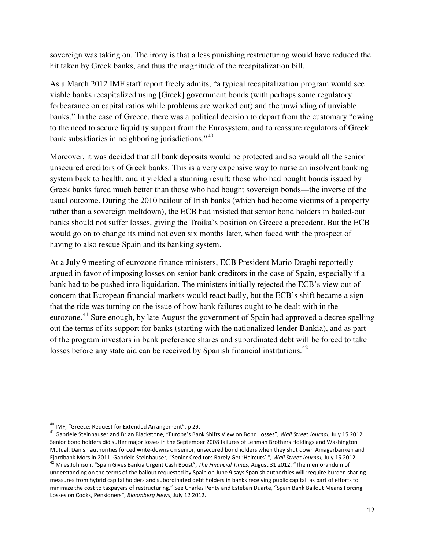sovereign was taking on. The irony is that a less punishing restructuring would have reduced the hit taken by Greek banks, and thus the magnitude of the recapitalization bill.

As a March 2012 IMF staff report freely admits, "a typical recapitalization program would see viable banks recapitalized using [Greek] government bonds (with perhaps some regulatory forbearance on capital ratios while problems are worked out) and the unwinding of unviable banks." In the case of Greece, there was a political decision to depart from the customary "owing to the need to secure liquidity support from the Eurosystem, and to reassure regulators of Greek bank subsidiaries in neighboring jurisdictions."<sup>[40](#page-12-0)</sup>

Moreover, it was decided that all bank deposits would be protected and so would all the senior unsecured creditors of Greek banks. This is a very expensive way to nurse an insolvent banking system back to health, and it yielded a stunning result: those who had bought bonds issued by Greek banks fared much better than those who had bought sovereign bonds—the inverse of the usual outcome. During the 2010 bailout of Irish banks (which had become victims of a property rather than a sovereign meltdown), the ECB had insisted that senior bond holders in bailed-out banks should not suffer losses, giving the Troika's position on Greece a precedent. But the ECB would go on to change its mind not even six months later, when faced with the prospect of having to also rescue Spain and its banking system.

At a July 9 meeting of eurozone finance ministers, ECB President Mario Draghi reportedly argued in favor of imposing losses on senior bank creditors in the case of Spain, especially if a bank had to be pushed into liquidation. The ministers initially rejected the ECB's view out of concern that European financial markets would react badly, but the ECB's shift became a sign that the tide was turning on the issue of how bank failures ought to be dealt with in the eurozone.<sup>[41](#page-12-1)</sup> Sure enough, by late August the government of Spain had approved a decree spelling out the terms of its support for banks (starting with the nationalized lender Bankia), and as part of the program investors in bank preference shares and subordinated debt will be forced to take losses before any state aid can be received by Spanish financial institutions.<sup>[42](#page-12-2)</sup>

 $\overline{a}$ 

<span id="page-12-0"></span><sup>&</sup>lt;sup>40</sup> IMF, "Greece: Request for Extended Arrangement", p 29.

<span id="page-12-2"></span><span id="page-12-1"></span><sup>41</sup> Gabriele Steinhauser and Brian Blackstone, "Europe's Bank Shifts View on Bond Losses", *Wall Street Journal*, July 15 2012. Senior bond holders did suffer major losses in the September 2008 failures of Lehman Brothers Holdings and Washington Mutual. Danish authorities forced write-downs on senior, unsecured bondholders when they shut down Amagerbanken and Fjordbank Mors in 2011. Gabriele Steinhauser, "Senior Creditors Rarely Get 'Haircuts' ", *Wall Street Journal*, July 15 2012. <sup>42</sup> Miles Johnson, "Spain Gives Bankia Urgent Cash Boost", *The Financial Times*, August 31 2012. "The memorandum of understanding on the terms of the bailout requested by Spain on June 9 says Spanish authorities will 'require burden sharing measures from hybrid capital holders and subordinated debt holders in banks receiving public capital' as part of efforts to minimize the cost to taxpayers of restructuring." See Charles Penty and Esteban Duarte, "Spain Bank Bailout Means Forcing Losses on Cooks, Pensioners", *Bloomberg News*, July 12 2012.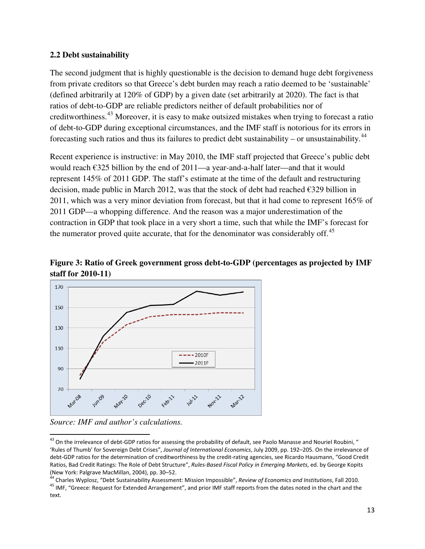#### **2.2 Debt sustainability**

The second judgment that is highly questionable is the decision to demand huge debt forgiveness from private creditors so that Greece's debt burden may reach a ratio deemed to be 'sustainable' (defined arbitrarily at 120% of GDP) by a given date (set arbitrarily at 2020). The fact is that ratios of debt-to-GDP are reliable predictors neither of default probabilities nor of creditworthiness.[43](#page-13-0) Moreover, it is easy to make outsized mistakes when trying to forecast a ratio of debt-to-GDP during exceptional circumstances, and the IMF staff is notorious for its errors in forecasting such ratios and thus its failures to predict debt sustainability – or unsustainability.<sup>[44](#page-13-1)</sup>

Recent experience is instructive: in May 2010, the IMF staff projected that Greece's public debt would reach €325 billion by the end of 2011—a year-and-a-half later—and that it would represent 145% of 2011 GDP. The staff's estimate at the time of the default and restructuring decision, made public in March 2012, was that the stock of debt had reached €329 billion in 2011, which was a very minor deviation from forecast, but that it had come to represent 165% of 2011 GDP—a whopping difference. And the reason was a major underestimation of the contraction in GDP that took place in a very short a time, such that while the IMF's forecast for the numerator proved quite accurate, that for the denominator was considerably off.<sup>[45](#page-13-2)</sup>





*Source: IMF and author's calculations.* 

l

<span id="page-13-0"></span><sup>&</sup>lt;sup>43</sup> On the irrelevance of debt-GDP ratios for assessing the probability of default, see Paolo Manasse and Nouriel Roubini, " 'Rules of Thumb' for Sovereign Debt Crises", *Journal of International Economics*, July 2009, pp. 192–205. On the irrelevance of debt-GDP ratios for the determination of creditworthiness by the credit-rating agencies, see Ricardo Hausmann, "Good Credit Ratios, Bad Credit Ratings: The Role of Debt Structure", *Rules-Based Fiscal Policy in Emerging Markets*, ed. by George Kopits (New York: Palgrave MacMillan, 2004), pp. 30–52.

<span id="page-13-2"></span><span id="page-13-1"></span><sup>44</sup> Charles Wyplosz, "Debt Sustainability Assessment: Mission Impossible", *Review of Economics and Institutions*, Fall 2010. <sup>45</sup> IMF, "Greece: Request for Extended Arrangement", and prior IMF staff reports from the dates noted in the chart and the text.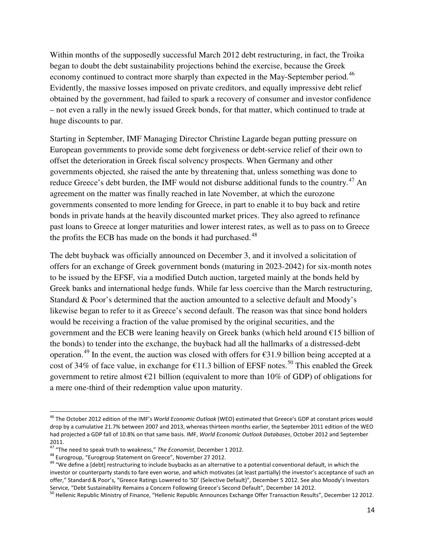Within months of the supposedly successful March 2012 debt restructuring, in fact, the Troika began to doubt the debt sustainability projections behind the exercise, because the Greek economy continued to contract more sharply than expected in the May-September period.<sup>[46](#page-14-0)</sup> Evidently, the massive losses imposed on private creditors, and equally impressive debt relief obtained by the government, had failed to spark a recovery of consumer and investor confidence – not even a rally in the newly issued Greek bonds, for that matter, which continued to trade at huge discounts to par.

Starting in September, IMF Managing Director Christine Lagarde began putting pressure on European governments to provide some debt forgiveness or debt-service relief of their own to offset the deterioration in Greek fiscal solvency prospects. When Germany and other governments objected, she raised the ante by threatening that, unless something was done to reduce Greece's debt burden, the IMF would not disburse additional funds to the country.<sup>[47](#page-14-1)</sup> An agreement on the matter was finally reached in late November, at which the eurozone governments consented to more lending for Greece, in part to enable it to buy back and retire bonds in private hands at the heavily discounted market prices. They also agreed to refinance past loans to Greece at longer maturities and lower interest rates, as well as to pass on to Greece the profits the ECB has made on the bonds it had purchased.<sup>[48](#page-14-2)</sup>

The debt buyback was officially announced on December 3, and it involved a solicitation of offers for an exchange of Greek government bonds (maturing in 2023-2042) for six-month notes to be issued by the EFSF, via a modified Dutch auction, targeted mainly at the bonds held by Greek banks and international hedge funds. While far less coercive than the March restructuring, Standard & Poor's determined that the auction amounted to a selective default and Moody's likewise began to refer to it as Greece's second default. The reason was that since bond holders would be receiving a fraction of the value promised by the original securities, and the government and the ECB were leaning heavily on Greek banks (which held around  $E15$  billion of the bonds) to tender into the exchange, the buyback had all the hallmarks of a distressed-debt operation.<sup>[49](#page-14-3)</sup> In the event, the auction was closed with offers for  $\epsilon$ 31.9 billion being accepted at a cost of 34% of face value, in exchange for  $\epsilon$ 11.3 billion of EFSF notes.<sup>[50](#page-14-4)</sup> This enabled the Greek government to retire almost  $\epsilon$ 21 billion (equivalent to more than 10% of GDP) of obligations for a mere one-third of their redemption value upon maturity.

<span id="page-14-0"></span><sup>46</sup> The October 2012 edition of the IMF's *World Economic Outlook* (WEO) estimated that Greece's GDP at constant prices would drop by a cumulative 21.7% between 2007 and 2013, whereas thirteen months earlier, the September 2011 edition of the WEO had projected a GDP fall of 10.8% on that same basis. IMF, *World Economic Outlook Databases*, October 2012 and September 2011.

<span id="page-14-1"></span><sup>47</sup> "The need to speak truth to weakness," *The Economist*, December 1 2012.

<span id="page-14-2"></span><sup>48</sup> Eurogroup, "Eurogroup Statement on Greece", November 27 2012.

<span id="page-14-3"></span><sup>&</sup>lt;sup>49</sup> "We define a [debt] restructuring to include buybacks as an alternative to a potential conventional default, in which the investor or counterparty stands to fare even worse, and which motivates (at least partially) the investor's acceptance of such an offer," Standard & Poor's, "Greece Ratings Lowered to 'SD' (Selective Default)", December 5 2012. See also Moody's Investors Service, "Debt Sustainability Remains a Concern Following Greece's Second Default", December 14 2012.

<span id="page-14-4"></span><sup>&</sup>lt;sup>50</sup> Hellenic Republic Ministry of Finance, "Hellenic Republic Announces Exchange Offer Transaction Results", December 12 2012.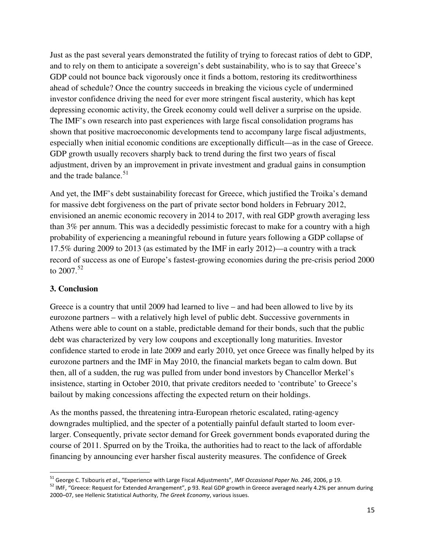Just as the past several years demonstrated the futility of trying to forecast ratios of debt to GDP, and to rely on them to anticipate a sovereign's debt sustainability, who is to say that Greece's GDP could not bounce back vigorously once it finds a bottom, restoring its creditworthiness ahead of schedule? Once the country succeeds in breaking the vicious cycle of undermined investor confidence driving the need for ever more stringent fiscal austerity, which has kept depressing economic activity, the Greek economy could well deliver a surprise on the upside. The IMF's own research into past experiences with large fiscal consolidation programs has shown that positive macroeconomic developments tend to accompany large fiscal adjustments, especially when initial economic conditions are exceptionally difficult—as in the case of Greece. GDP growth usually recovers sharply back to trend during the first two years of fiscal adjustment, driven by an improvement in private investment and gradual gains in consumption and the trade balance.<sup>[51](#page-15-0)</sup>

And yet, the IMF's debt sustainability forecast for Greece, which justified the Troika's demand for massive debt forgiveness on the part of private sector bond holders in February 2012, envisioned an anemic economic recovery in 2014 to 2017, with real GDP growth averaging less than 3% per annum. This was a decidedly pessimistic forecast to make for a country with a high probability of experiencing a meaningful rebound in future years following a GDP collapse of 17.5% during 2009 to 2013 (as estimated by the IMF in early 2012)—a country with a track record of success as one of Europe's fastest-growing economies during the pre-crisis period 2000 to  $2007.^{52}$  $2007.^{52}$  $2007.^{52}$ 

#### **3. Conclusion**

-

Greece is a country that until 2009 had learned to live – and had been allowed to live by its eurozone partners – with a relatively high level of public debt. Successive governments in Athens were able to count on a stable, predictable demand for their bonds, such that the public debt was characterized by very low coupons and exceptionally long maturities. Investor confidence started to erode in late 2009 and early 2010, yet once Greece was finally helped by its eurozone partners and the IMF in May 2010, the financial markets began to calm down. But then, all of a sudden, the rug was pulled from under bond investors by Chancellor Merkel's insistence, starting in October 2010, that private creditors needed to 'contribute' to Greece's bailout by making concessions affecting the expected return on their holdings.

As the months passed, the threatening intra-European rhetoric escalated, rating-agency downgrades multiplied, and the specter of a potentially painful default started to loom everlarger. Consequently, private sector demand for Greek government bonds evaporated during the course of 2011. Spurred on by the Troika, the authorities had to react to the lack of affordable financing by announcing ever harsher fiscal austerity measures. The confidence of Greek

<span id="page-15-0"></span><sup>51</sup> George C. Tsibouris *et al*., "Experience with Large Fiscal Adjustments", *IMF Occasional Paper No. 246*, 2006, p 19.

<span id="page-15-1"></span><sup>52</sup> IMF, "Greece: Request for Extended Arrangement", p 93. Real GDP growth in Greece averaged nearly 4.2% per annum during 2000–07, see Hellenic Statistical Authority, *The Greek Economy*, various issues.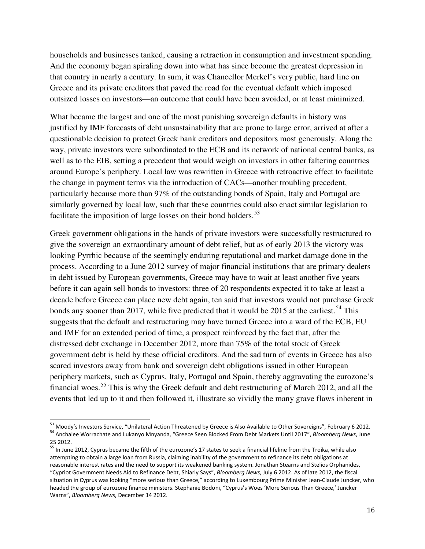households and businesses tanked, causing a retraction in consumption and investment spending. And the economy began spiraling down into what has since become the greatest depression in that country in nearly a century. In sum, it was Chancellor Merkel's very public, hard line on Greece and its private creditors that paved the road for the eventual default which imposed outsized losses on investors—an outcome that could have been avoided, or at least minimized.

What became the largest and one of the most punishing sovereign defaults in history was justified by IMF forecasts of debt unsustainability that are prone to large error, arrived at after a questionable decision to protect Greek bank creditors and depositors most generously. Along the way, private investors were subordinated to the ECB and its network of national central banks, as well as to the EIB, setting a precedent that would weigh on investors in other faltering countries around Europe's periphery. Local law was rewritten in Greece with retroactive effect to facilitate the change in payment terms via the introduction of CACs—another troubling precedent, particularly because more than 97% of the outstanding bonds of Spain, Italy and Portugal are similarly governed by local law, such that these countries could also enact similar legislation to facilitate the imposition of large losses on their bond holders.<sup>[53](#page-16-0)</sup>

Greek government obligations in the hands of private investors were successfully restructured to give the sovereign an extraordinary amount of debt relief, but as of early 2013 the victory was looking Pyrrhic because of the seemingly enduring reputational and market damage done in the process. According to a June 2012 survey of major financial institutions that are primary dealers in debt issued by European governments, Greece may have to wait at least another five years before it can again sell bonds to investors: three of 20 respondents expected it to take at least a decade before Greece can place new debt again, ten said that investors would not purchase Greek bonds any sooner than 2017, while five predicted that it would be 2015 at the earliest.<sup>[54](#page-16-1)</sup> This suggests that the default and restructuring may have turned Greece into a ward of the ECB, EU and IMF for an extended period of time, a prospect reinforced by the fact that, after the distressed debt exchange in December 2012, more than 75% of the total stock of Greek government debt is held by these official creditors. And the sad turn of events in Greece has also scared investors away from bank and sovereign debt obligations issued in other European periphery markets, such as Cyprus, Italy, Portugal and Spain, thereby aggravating the eurozone's financial woes.<sup>[55](#page-16-2)</sup> This is why the Greek default and debt restructuring of March 2012, and all the events that led up to it and then followed it, illustrate so vividly the many grave flaws inherent in

<u>.</u>

<span id="page-16-1"></span><span id="page-16-0"></span><sup>53</sup> Moody's Investors Service, "Unilateral Action Threatened by Greece is Also Available to Other Sovereigns", February 6 2012. <sup>54</sup> Anchalee Worrachate and Lukanyo Mnyanda, "Greece Seen Blocked From Debt Markets Until 2017", *Bloomberg News*, June 25 2012.

<span id="page-16-2"></span><sup>&</sup>lt;sup>55</sup> In June 2012, Cyprus became the fifth of the eurozone's 17 states to seek a financial lifeline from the Troika, while also attempting to obtain a large loan from Russia, claiming inability of the government to refinance its debt obligations at reasonable interest rates and the need to support its weakened banking system. Jonathan Stearns and Stelios Orphanides, "Cypriot Government Needs Aid to Refinance Debt, Shiarly Says", *Bloomberg News*, July 6 2012. As of late 2012, the fiscal situation in Cyprus was looking "more serious than Greece," according to Luxembourg Prime Minister Jean-Claude Juncker, who headed the group of eurozone finance ministers. Stephanie Bodoni, "Cyprus's Woes 'More Serious Than Greece,' Juncker Warns", *Bloomberg News*, December 14 2012.